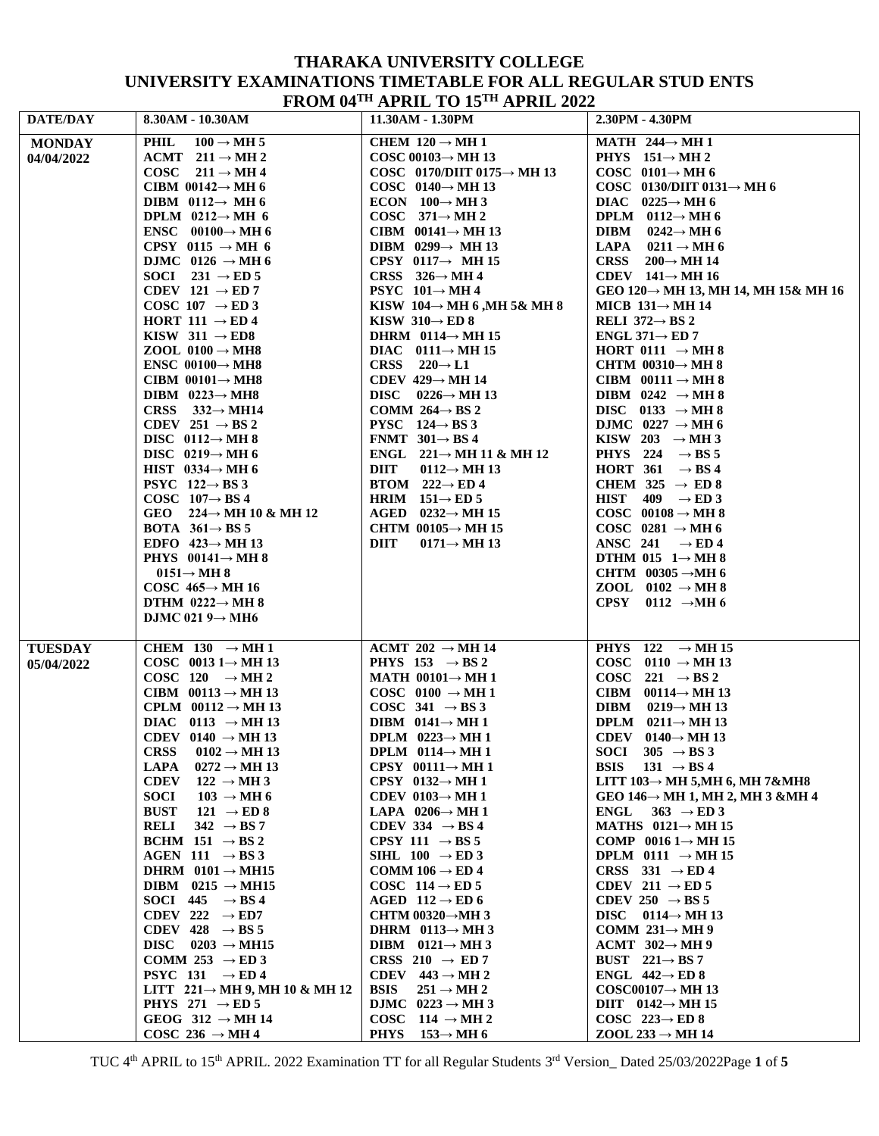## **THARAKA UNIVERSITY COLLEGE UNIVERSITY EXAMINATIONS TIMETABLE FOR ALL REGULAR STUD ENTS FROM 04TH APRIL TO 15TH APRIL 2022**

| DATE/DAY       | * ****** * *<br>8.30AM - 10.30AM                                   | $\mathbf{111}$ $\mathbf{111}$ $\mathbf{10}$ $\mathbf{10}$<br>11.30AM - 1.30PM | 2.30PM - 4.30PM                                                                  |
|----------------|--------------------------------------------------------------------|-------------------------------------------------------------------------------|----------------------------------------------------------------------------------|
| <b>MONDAY</b>  | PHIL<br>$100 \rightarrow \text{MH } 5$                             | CHEM $120 \rightarrow MH1$                                                    | MATH $244 \rightarrow MH1$                                                       |
| 04/04/2022     | ACMT $211 \rightarrow MH2$                                         | COSC 00103 $\rightarrow$ MH 13                                                | PHYS $151 \rightarrow M H 2$                                                     |
|                | COSC $211 \rightarrow M H 4$                                       | COSC 0170/DIIT 0175 $\rightarrow$ MH 13                                       | COSC $0101 \rightarrow MH6$                                                      |
|                | CIBM $00142 \rightarrow$ MH 6                                      | COSC $0140 \rightarrow \text{MH } 13$                                         | COSC 0130/DIIT 0131 $\rightarrow$ MH 6                                           |
|                | DIBM $0112 \rightarrow MH6$                                        | ECON $100 \rightarrow \text{MH } 3$                                           | DIAC $0225 \rightarrow \text{MH } 6$                                             |
|                | DPLM $0212 \rightarrow MH$ 6                                       | COSC $371 \rightarrow M H 2$                                                  | DPLM $0112 \rightarrow MH6$                                                      |
|                | ENSC $00100 \rightarrow MH6$                                       | CIBM $00141 \rightarrow MH$ 13                                                | DIBM $0242 \rightarrow \text{MH } 6$                                             |
|                | CPSY 0115 $\rightarrow$ MH 6                                       | DIBM $0299 \rightarrow MH13$                                                  | LAPA<br>$0211 \rightarrow \text{MH } 6$                                          |
|                | DJMC 0126 $\rightarrow$ MH 6                                       | CPSY 0117 $\rightarrow$ MH 15                                                 | <b>CRSS</b><br>$200 \rightarrow \text{MH } 14$                                   |
|                | SOCI 231 $\rightarrow$ ED 5                                        | CRSS $326 \rightarrow MH4$                                                    | CDEV $141 \rightarrow MH 16$                                                     |
|                | CDEV 121 $\rightarrow$ ED 7<br>COSC 107 $\rightarrow$ ED 3         | <b>PSYC</b> $101 \rightarrow MH4$<br>KISW $104 \rightarrow MH 6$ , MH 5& MH 8 | GEO 120 $\rightarrow$ MH 13, MH 14, MH 15& MH 16<br>MICB $131 \rightarrow$ MH 14 |
|                | HORT 111 $\rightarrow$ ED 4                                        | KISW $310 \rightarrow ED 8$                                                   | RELI $372 \rightarrow BS2$                                                       |
|                | KISW 311 $\rightarrow$ ED8                                         | DHRM $0114 \rightarrow MH15$                                                  | ENGL 371 $\rightarrow$ ED 7                                                      |
|                | ZOOL $0100 \rightarrow MHz$                                        | DIAC $0111 \rightarrow MH 15$                                                 | HORT 0111 $\rightarrow$ MH 8                                                     |
|                | <b>ENSC</b> 00100 $\rightarrow$ MH8                                | CRSS $220 \rightarrow L1$                                                     | CHTM $00310 \rightarrow MH8$                                                     |
|                | CIBM $00101 \rightarrow MHz$                                       | CDEV $429 \rightarrow MH$ 14                                                  | CIBM $00111 \rightarrow MH8$                                                     |
|                | DIBM $0223 \rightarrow MHz$                                        | DISC $0226 \rightarrow \text{MH } 13$                                         | DIBM $0242 \rightarrow \text{MH } 8$                                             |
|                | CRSS $332 \rightarrow M H14$                                       | COMM $264 \rightarrow BS2$                                                    | DISC 0133 $\rightarrow$ MH 8                                                     |
|                | CDEV 251 $\rightarrow$ BS 2                                        | <b>PYSC</b> $124 \rightarrow BS3$                                             | DJMC $0227 \rightarrow \text{MH } 6$                                             |
|                | DISC $0112 \rightarrow MH8$                                        | FNMT $301 \rightarrow BS4$                                                    | KISW 203 $\rightarrow$ MH 3                                                      |
|                | DISC $0219 \rightarrow MH6$                                        | ENGL $221 \rightarrow$ MH 11 & MH 12                                          | PHYS 224 $\rightarrow$ BS 5                                                      |
|                | HIST $0334 \rightarrow MH6$                                        | <b>DIIT</b><br>0112 $\rightarrow$ MH 13                                       | HORT $361 \rightarrow BS4$                                                       |
|                | <b>PSYC</b> 122 $\rightarrow$ BS 3                                 | BTOM $222 \rightarrow ED4$                                                    | CHEM 325 $\rightarrow$ ED 8                                                      |
|                | COSC $107 \rightarrow BS4$                                         | HRIM $151 \rightarrow ED 5$                                                   | HIST $409 \rightarrow ED3$                                                       |
|                | GEO $224 \rightarrow$ MH 10 & MH 12                                | AGED $0232 \rightarrow \text{MH } 15$                                         | COSC $00108 \rightarrow MH8$                                                     |
|                | <b>BOTA</b> $361 \rightarrow BS$ 5<br>EDFO $423 \rightarrow$ MH 13 | CHTM $00105 \rightarrow$ MH 15<br><b>DIIT</b><br>0171 $\rightarrow$ MH 13     | COSC 0281 $\rightarrow$ MH 6<br>ANSC 241 $\rightarrow$ ED 4                      |
|                | PHYS $00141 \rightarrow MH8$                                       |                                                                               | DTHM 015 $1 \rightarrow$ MH 8                                                    |
|                | $0151 \rightarrow M H 8$                                           |                                                                               | CHTM $00305 \rightarrow MH 6$                                                    |
|                | COSC $465 \rightarrow$ MH 16                                       |                                                                               | ZOOL $0102 \rightarrow MH8$                                                      |
|                | DTHM $0222 \rightarrow MH8$                                        |                                                                               | CPSY 0112 $\rightarrow$ MH6                                                      |
|                | DJMC 021 $9 \rightarrow$ MH6                                       |                                                                               |                                                                                  |
|                |                                                                    |                                                                               |                                                                                  |
| <b>TUESDAY</b> | CHEM 130 $\rightarrow$ MH 1                                        | ACMT 202 $\rightarrow$ MH 14                                                  | PHYS 122 $\rightarrow$ MH 15                                                     |
| 05/04/2022     | COSC 0013 $1 \rightarrow$ MH 13<br>COSC 120 $\rightarrow$ MH 2     | PHYS 153 $\rightarrow$ BS 2<br>MATH $00101 \rightarrow MH1$                   | COSC 0110 $\rightarrow$ MH 13<br>COSC 221 $\rightarrow$ BS 2                     |
|                | CIBM $00113 \rightarrow MH13$                                      | COSC 0100 $\rightarrow$ MH 1                                                  | CIBM $00114 \rightarrow MH13$                                                    |
|                | CPLM $00112 \rightarrow MH13$                                      | COSC 341 $\rightarrow$ BS 3                                                   | DIBM $0219 \rightarrow MH13$                                                     |
|                | DIAC 0113 $\rightarrow$ MH 13                                      | DIBM $0141 \rightarrow MH1$                                                   | DPLM $0211 \rightarrow MH$ 13                                                    |
|                | CDEV 0140 $\rightarrow$ MH 13                                      | DPLM $0223 \rightarrow MH1$                                                   | CDEV $0140 \rightarrow \text{MH } 13$                                            |
|                | <b>CRSS</b><br>$0102 \rightarrow \text{MH } 13$                    | DPLM $0114 \rightarrow MH1$                                                   | SOCI 305 $\rightarrow$ BS 3                                                      |
|                | <b>LAPA</b><br>$0272 \rightarrow \text{MH } 13$                    | CPSY $00111 \rightarrow MH1$                                                  | <b>BSIS</b><br>$131 \rightarrow BS4$                                             |
|                | <b>CDEV</b><br>$122 \rightarrow \text{MH } 3$                      | CPSY 0132 $\rightarrow$ MH 1                                                  | LITT $103 \rightarrow MH$ 5, MH 6, MH 7&MH8                                      |
|                | <b>SOCI</b><br>$103 \rightarrow \text{MH } 6$                      | CDEV 0103 $\rightarrow$ MH 1                                                  | GEO 146 $\rightarrow$ MH 1, MH 2, MH 3 &MH 4                                     |
|                | <b>BUST</b><br>121 $\rightarrow$ ED 8                              | LAPA $0206 \rightarrow MH1$                                                   | <b>ENGL</b><br>$363 \rightarrow ED3$                                             |
|                | 342 $\rightarrow$ BS 7<br><b>RELI</b>                              | CDEV 334 $\rightarrow$ BS 4                                                   | MATHS $0121 \rightarrow MH15$                                                    |
|                | BCHM 151 $\rightarrow$ BS 2                                        | CPSY 111 $\rightarrow$ BS 5                                                   | COMP 0016 $1 \rightarrow$ MH 15                                                  |
|                | AGEN 111 $\rightarrow$ BS 3                                        | SIHL $100 \rightarrow ED3$                                                    | DPLM 0111 $\rightarrow$ MH 15                                                    |
|                | DHRM $0101 \rightarrow MHI5$                                       | COMM $106 \rightarrow ED4$                                                    | CRSS 331 $\rightarrow$ ED 4                                                      |
|                | DIBM 0215 $\rightarrow$ MH15                                       | COSC 114 $\rightarrow$ ED 5                                                   | CDEV 211 $\rightarrow$ ED 5                                                      |
|                | SOCI 445 $\rightarrow$ BS 4<br>CDEV 222 $\rightarrow$ ED7          | AGED $112 \rightarrow ED6$<br>CHTM 00320 $\rightarrow$ MH 3                   | CDEV 250 $\rightarrow$ BS 5<br>DISC $0114 \rightarrow MH$ 13                     |
|                | CDEV 428 $\rightarrow$ BS 5                                        | DHRM $0113 \rightarrow MH3$                                                   | COMM $231 \rightarrow$ MH 9                                                      |
|                | DISC $0203 \rightarrow \text{MH15}$                                | DIBM $0121 \rightarrow MH3$                                                   | ACMT $302 \rightarrow MH9$                                                       |
|                | COMM 253 $\rightarrow$ ED 3                                        | CRSS 210 $\rightarrow$ ED 7                                                   | BUST $221 \rightarrow BS7$                                                       |
|                | PSYC 131 $\rightarrow$ ED 4                                        | CDEV $443 \rightarrow MH2$                                                    | ENGL $442 \rightarrow$ ED 8                                                      |
|                | LITT $221 \rightarrow$ MH 9, MH 10 & MH 12                         | <b>BSIS</b><br>$251 \rightarrow M H 2$                                        | $COSC00107 \rightarrow MH$ 13                                                    |
|                | PHYS 271 $\rightarrow$ ED 5                                        | DJMC $0223 \rightarrow MH3$                                                   | DIIT $0142 \rightarrow \text{MH } 15$                                            |
|                | GEOG 312 $\rightarrow$ MH 14                                       | COSC $114 \rightarrow MH2$                                                    | COSC $223 \rightarrow ED 8$                                                      |
|                | COSC 236 $\rightarrow$ MH 4                                        | <b>PHYS</b><br>$153 \rightarrow MH6$                                          | $ZOOL$ 233 $\rightarrow$ MH 14                                                   |

TUC 4 th APRIL to 15th APRIL. 2022 Examination TT for all Regular Students 3 rd Version\_ Dated 25/03/2022Page **1** of **5**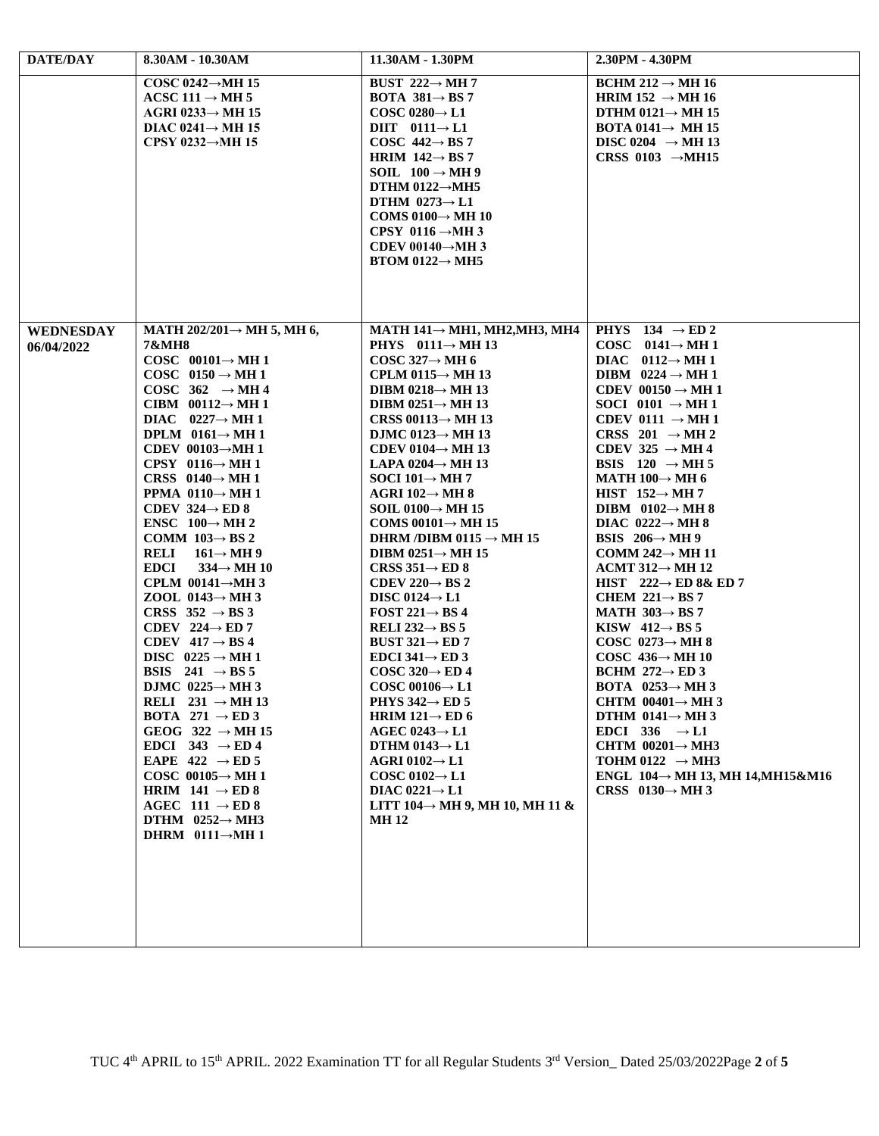| DATE/DAY                       | 8.30AM - 10.30AM                                                                                                                                                                                                                                                                                                                                                                                                                                                                                                                                                                                                                                                                                                                                                                                                                                                                                                                                                                                                                                                                                                                                                                                        | 11.30AM - 1.30PM                                                                                                                                                                                                                                                                                                                                                                                                                                                                                                                                                                                                                                                                                                                                                                                                                                                                                                                                                                                                                                                                                                                            | 2.30PM - 4.30PM                                                                                                                                                                                                                                                                                                                                                                                                                                                                                                                                                                                                                                                                                                                                                                                                                                                                                                                                                                                                                                                               |
|--------------------------------|---------------------------------------------------------------------------------------------------------------------------------------------------------------------------------------------------------------------------------------------------------------------------------------------------------------------------------------------------------------------------------------------------------------------------------------------------------------------------------------------------------------------------------------------------------------------------------------------------------------------------------------------------------------------------------------------------------------------------------------------------------------------------------------------------------------------------------------------------------------------------------------------------------------------------------------------------------------------------------------------------------------------------------------------------------------------------------------------------------------------------------------------------------------------------------------------------------|---------------------------------------------------------------------------------------------------------------------------------------------------------------------------------------------------------------------------------------------------------------------------------------------------------------------------------------------------------------------------------------------------------------------------------------------------------------------------------------------------------------------------------------------------------------------------------------------------------------------------------------------------------------------------------------------------------------------------------------------------------------------------------------------------------------------------------------------------------------------------------------------------------------------------------------------------------------------------------------------------------------------------------------------------------------------------------------------------------------------------------------------|-------------------------------------------------------------------------------------------------------------------------------------------------------------------------------------------------------------------------------------------------------------------------------------------------------------------------------------------------------------------------------------------------------------------------------------------------------------------------------------------------------------------------------------------------------------------------------------------------------------------------------------------------------------------------------------------------------------------------------------------------------------------------------------------------------------------------------------------------------------------------------------------------------------------------------------------------------------------------------------------------------------------------------------------------------------------------------|
|                                | COSC 0242 $\rightarrow$ MH 15<br>ACSC 111 $\rightarrow$ MH 5<br>AGRI 0233 $\rightarrow$ MH 15<br>DIAC $0241 \rightarrow$ MH 15<br>CPSY 0232 $\rightarrow$ MH 15                                                                                                                                                                                                                                                                                                                                                                                                                                                                                                                                                                                                                                                                                                                                                                                                                                                                                                                                                                                                                                         | BUST $222 \rightarrow MH$ 7<br><b>BOTA</b> 381 $\rightarrow$ BS 7<br>COSC 0280 $\rightarrow$ L1<br>DIIT $0111 \rightarrow L1$<br>COSC $442 \rightarrow BS7$<br>HRIM $142 \rightarrow BS$ 7<br>SOIL $100 \rightarrow \text{MH } 9$<br>DTHM $0122 \rightarrow MHz$<br>DTHM $0273 \rightarrow L1$<br>COMS 0100 $\rightarrow$ MH 10<br>CPSY 0116 $\rightarrow$ MH 3<br>CDEV 00140 $\rightarrow$ MH 3<br>$BTOM$ 0122 $\rightarrow$ MH5                                                                                                                                                                                                                                                                                                                                                                                                                                                                                                                                                                                                                                                                                                           | $BCHM 212 \rightarrow MH 16$<br>HRIM 152 $\rightarrow$ MH 16<br>DTHM $0121 \rightarrow$ MH 15<br><b>BOTA 0141<math>\rightarrow</math> MH 15</b><br>DISC 0204 $\rightarrow$ MH 13<br>CRSS 0103 $\rightarrow$ MH15                                                                                                                                                                                                                                                                                                                                                                                                                                                                                                                                                                                                                                                                                                                                                                                                                                                              |
| <b>WEDNESDAY</b><br>06/04/2022 | MATH $202/201 \rightarrow$ MH 5, MH 6,<br>7&MH8<br>COSC $00101 \rightarrow M H 1$<br>COSC $0150 \rightarrow MH1$<br>COSC $362 \rightarrow MH4$<br>CIBM $00112 \rightarrow MH1$<br>DIAC $0227 \rightarrow M H 1$<br>DPLM $0161 \rightarrow MH1$<br>CDEV 00103 $\rightarrow$ MH 1<br>CPSY 0116 $\rightarrow$ MH 1<br>CRSS $0140 \rightarrow MH1$<br><b>PPMA</b> $0110 \rightarrow MH1$<br>CDEV $324 \rightarrow ED 8$<br><b>ENSC</b> $100 \rightarrow \text{MH } 2$<br>COMM $103 \rightarrow BS2$<br>RELI<br>$161 \rightarrow M H 9$<br><b>EDCI</b><br>$334 \rightarrow \text{MH } 10$<br>CPLM $00141 \rightarrow$ MH 3<br>ZOOL 0143 $\rightarrow$ MH 3<br>CRSS $352 \rightarrow BS3$<br>CDEV 224 $\rightarrow$ ED 7<br>CDEV $417 \rightarrow BS4$<br>DISC $0225 \rightarrow MH1$<br>BSIS 241 $\rightarrow$ BS 5<br>DJMC $0225 \rightarrow \text{MH } 3$<br>RELI $231 \rightarrow MH$ 13<br><b>BOTA</b> 271 $\rightarrow$ <b>ED</b> 3<br>GEOG $322 \rightarrow \text{MH } 15$<br>EDCI 343 $\rightarrow$ ED 4<br>EAPE $422 \rightarrow ED 5$<br>COSC $00105 \rightarrow MH1$<br>HRIM $141 \rightarrow ED 8$<br>AGEC 111 $\rightarrow$ ED 8<br>DTHM $0252 \rightarrow MHz$<br>DHRM $0111 \rightarrow M H 1$ | MATH $141 \rightarrow$ MH1, MH2, MH3, MH4<br><b>PHYS</b> $0111 \rightarrow \text{MH } 13$<br>COSC 327 $\rightarrow$ MH 6<br>CPLM 0115 $\rightarrow$ MH 13<br>DIBM 0218 $\rightarrow$ MH 13<br>DIBM $0251 \rightarrow$ MH 13<br>CRSS 00113 $\rightarrow$ MH 13<br>DJMC 0123 $\rightarrow$ MH 13<br>CDEV 0104 $\rightarrow$ MH 13<br>LAPA 0204 $\rightarrow$ MH 13<br>SOCI 101 $\rightarrow$ MH 7<br>AGRI 102 $\rightarrow$ MH 8<br>SOIL 0100 $\rightarrow$ MH 15<br>COMS $00101 \rightarrow$ MH 15<br>DHRM /DIBM 0115 $\rightarrow$ MH 15<br>DIBM $0251 \rightarrow$ MH 15<br>CRSS $351 \rightarrow ED 8$<br>CDEV 220 $\rightarrow$ BS 2<br>DISC 0124 $\rightarrow$ L1<br>FOST 221 $\rightarrow$ BS 4<br>RELI 232 $\rightarrow$ BS 5<br>BUST $321 \rightarrow ED$ 7<br>EDCI 341 $\rightarrow$ ED 3<br>$COSC 320 \rightarrow ED 4$<br>$COSC 00106 \rightarrow L1$<br>PHYS 342 $\rightarrow$ ED 5<br>HRIM 121 $\rightarrow$ ED 6<br>AGEC 0243 $\rightarrow$ L1<br>DTHM 0143 $\rightarrow$ L1<br>AGRI 0102 $\rightarrow$ L1<br>COSC 0102 $\rightarrow$ L1<br>DIAC 0221 $\rightarrow$ L1<br>LITT 104 $\rightarrow$ MH 9, MH 10, MH 11 &<br>MH 12 | PHYS 134 $\rightarrow$ ED 2<br>COSC $0141 \rightarrow M H 1$<br>DIAC $0112 \rightarrow MH1$<br>DIBM $0224 \rightarrow MH1$<br>CDEV $00150 \rightarrow MH1$<br>SOCI 0101 $\rightarrow$ MH 1<br>CDEV 0111 $\rightarrow$ MH 1<br>CRSS 201 $\rightarrow$ MH 2<br>CDEV 325 $\rightarrow$ MH 4<br>BSIS $120 \rightarrow \text{MH } 5$<br>MATH $100 \rightarrow$ MH 6<br>HIST $152 \rightarrow$ MH 7<br>DIBM $0102 \rightarrow MH8$<br>DIAC $0222 \rightarrow MH8$<br>BSIS $206 \rightarrow \text{MH } 9$<br>COMM 242 $\rightarrow$ MH 11<br>ACMT 312 $\rightarrow$ MH 12<br>HIST $222 \rightarrow ED 8\& ED 7$<br>CHEM $221 \rightarrow BS7$<br>MATH $303 \rightarrow BS7$<br>KISW $412 \rightarrow BS$ 5<br>COSC $0273 \rightarrow MH8$<br>COSC $436 \rightarrow MH 10$<br>BCHM $272 \rightarrow ED3$<br>BOTA $0253 \rightarrow MH3$<br>CHTM $00401 \rightarrow MH3$<br>DTHM $0141 \rightarrow MH3$<br>EDCI 336 $\rightarrow$ L1<br>CHTM $00201 \rightarrow MH3$<br>TOHM 0122 $\rightarrow$ MH3<br>ENGL $104 \rightarrow MH$ 13, MH 14, MH 15& M16<br>CRSS 0130 $\rightarrow$ MH 3 |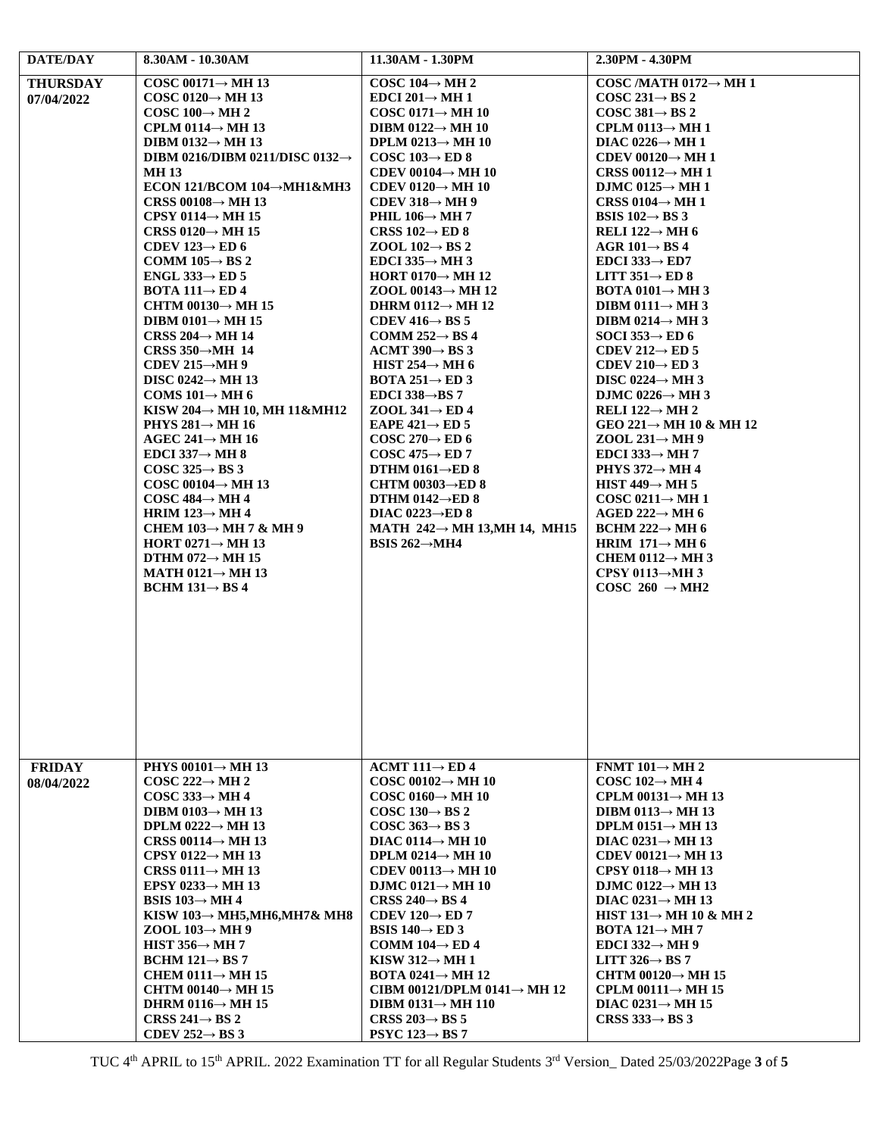| DATE/DAY        | 8.30AM - 10.30AM                                                       | 11.30AM - 1.30PM                                                        | 2.30PM - 4.30PM                                                 |
|-----------------|------------------------------------------------------------------------|-------------------------------------------------------------------------|-----------------------------------------------------------------|
| <b>THURSDAY</b> | COSC 00171 $\rightarrow$ MH 13                                         | COSC 104 $\rightarrow$ MH 2                                             | COSC /MATH $0172 \rightarrow MH$ 1                              |
| 07/04/2022      | COSC 0120 $\rightarrow$ MH 13                                          | EDCI 201 $\rightarrow$ MH 1                                             | COSC 231 $\rightarrow$ BS 2                                     |
|                 | COSC 100 $\rightarrow$ MH 2                                            | COSC 0171 $\rightarrow$ MH 10                                           | COSC 381 $\rightarrow$ BS 2                                     |
|                 | CPLM 0114 $\rightarrow$ MH 13                                          | DIBM 0122 $\rightarrow$ MH 10                                           | CPLM 0113 $\rightarrow$ MH 1                                    |
|                 | DIBM 0132 $\rightarrow$ MH 13                                          | DPLM $0213 \rightarrow$ MH 10                                           | DIAC 0226 $\rightarrow$ MH 1                                    |
|                 | DIBM 0216/DIBM 0211/DISC 0132 $\rightarrow$                            | COSC 103 $\rightarrow$ ED 8                                             | CDEV 00120 $\rightarrow$ MH 1                                   |
|                 | <b>MH13</b>                                                            | CDEV 00104 $\rightarrow$ MH 10                                          | CRSS 00112 $\rightarrow$ MH 1                                   |
|                 | <b>ECON 121/BCOM 104→MH1&amp;MH3</b><br>CRSS 00108 $\rightarrow$ MH 13 | CDEV 0120 $\rightarrow$ MH 10<br>CDEV 318 $\rightarrow$ MH 9            | DJMC 0125 $\rightarrow$ MH 1<br>CRSS 0104 $\rightarrow$ MH 1    |
|                 | CPSY 0114 $\rightarrow$ MH 15                                          | PHIL 106 $\rightarrow$ MH 7                                             | BSIS $102 \rightarrow$ BS 3                                     |
|                 | CRSS 0120 $\rightarrow$ MH 15                                          | CRSS 102 $\rightarrow$ ED 8                                             | RELI 122 $\rightarrow$ MH 6                                     |
|                 | CDEV 123 $\rightarrow$ ED 6                                            | ZOOL $102 \rightarrow BS2$                                              | AGR 101 $\rightarrow$ BS 4                                      |
|                 | COMM $105 \rightarrow BS$ 2                                            | EDCI 335 $\rightarrow$ MH 3                                             | EDCI 333 $\rightarrow$ ED7                                      |
|                 | ENGL 333 $\rightarrow$ ED 5                                            | HORT 0170 $\rightarrow$ MH 12                                           | LITT $351 \rightarrow ED 8$                                     |
|                 | <b>BOTA 111<math>\rightarrow</math> ED 4</b>                           | ZOOL 00143 $\rightarrow$ MH 12                                          | <b>BOTA 0101<math>\rightarrow</math>MH 3</b>                    |
|                 | CHTM 00130 $\rightarrow$ MH 15                                         | DHRM 0112 $\rightarrow$ MH 12                                           | DIBM 0111 $\rightarrow$ MH 3                                    |
|                 | DIBM 0101 $\rightarrow$ MH 15                                          | CDEV 416 $\rightarrow$ BS 5                                             | DIBM 0214 $\rightarrow$ MH 3                                    |
|                 | CRSS 204 $\rightarrow$ MH 14                                           | COMM 252 $\rightarrow$ BS 4                                             | SOCI 353 $\rightarrow$ ED 6                                     |
|                 | CRSS $350 \rightarrow MH$ 14                                           | ACMT 390 $\rightarrow$ BS 3                                             | CDEV 212 $\rightarrow$ ED 5                                     |
|                 | CDEV 215 $\rightarrow$ MH 9                                            | HIST 254 $\rightarrow$ MH 6                                             | CDEV 210 $\rightarrow$ ED 3                                     |
|                 | DISC 0242 $\rightarrow$ MH 13                                          | <b>BOTA 251<math>\rightarrow</math> ED 3</b>                            | DISC 0224 $\rightarrow$ MH 3                                    |
|                 | COMS $101 \rightarrow MH6$                                             | EDCI 338 $\rightarrow$ BS 7                                             | DJMC 0226 $\rightarrow$ MH 3                                    |
|                 | KISW 204 $\rightarrow$ MH 10, MH 11&MH12                               | ZOOL 341 $\rightarrow$ ED 4                                             | RELI 122 $\rightarrow$ MH 2                                     |
|                 | PHYS $281 \rightarrow MH 16$                                           | EAPE $421 \rightarrow ED$ 5                                             | GEO 221 $\rightarrow$ MH 10 & MH 12                             |
|                 | AGEC 241 $\rightarrow$ MH 16                                           | COSC 270 $\rightarrow$ ED 6                                             | ZOOL 231 $\rightarrow$ MH 9                                     |
|                 | EDCI 337 $\rightarrow$ MH 8                                            | $COSC 475 \rightarrow ED 7$                                             | EDCI 333 $\rightarrow$ MH 7                                     |
|                 | COSC 325 $\rightarrow$ BS 3                                            | DTHM 0161 $\rightarrow$ ED 8                                            | PHYS $372 \rightarrow$ MH 4                                     |
|                 | COSC 00104 $\rightarrow$ MH 13                                         | CHTM 00303 $\rightarrow$ ED 8                                           | HIST 449 $\rightarrow$ MH 5                                     |
|                 | COSC $484 \rightarrow MH4$                                             | DTHM 0142 $\rightarrow$ ED 8                                            | COSC 0211 $\rightarrow$ MH 1                                    |
|                 | HRIM 123 $\rightarrow$ MH 4                                            | DIAC 0223 $\rightarrow$ ED 8                                            | AGED 222 $\rightarrow$ MH 6                                     |
|                 | CHEM $103 \rightarrow$ MH 7 & MH 9                                     | MATH $242 \rightarrow$ MH 13, MH 14, MH15<br>BSIS 262 $\rightarrow$ MH4 | BCHM 222 $\rightarrow$ MH 6                                     |
|                 | HORT 0271 $\rightarrow$ MH 13<br>DTHM 072 $\rightarrow$ MH 15          |                                                                         | HRIM $171 \rightarrow MH$ 6<br>CHEM 0112 $\rightarrow$ MH 3     |
|                 | MATH $0121 \rightarrow$ MH 13                                          |                                                                         | CPSY 0113 $\rightarrow$ MH 3                                    |
|                 | $BCHM 131 \rightarrow BS 4$                                            |                                                                         | COSC 260 $\rightarrow$ MH2                                      |
|                 |                                                                        |                                                                         |                                                                 |
|                 |                                                                        |                                                                         |                                                                 |
|                 |                                                                        |                                                                         |                                                                 |
|                 |                                                                        |                                                                         |                                                                 |
|                 |                                                                        |                                                                         |                                                                 |
|                 |                                                                        |                                                                         |                                                                 |
|                 |                                                                        |                                                                         |                                                                 |
|                 |                                                                        |                                                                         |                                                                 |
|                 |                                                                        |                                                                         |                                                                 |
|                 |                                                                        |                                                                         |                                                                 |
|                 |                                                                        |                                                                         |                                                                 |
| <b>FRIDAY</b>   | PHYS 00101 $\rightarrow$ MH 13                                         | ACMT 111 $\rightarrow$ ED 4                                             | FNMT $101 \rightarrow$ MH 2                                     |
| 08/04/2022      | COSC 222 $\rightarrow$ MH 2                                            | COSC 00102 $\rightarrow$ MH 10                                          | COSC 102 $\rightarrow$ MH 4                                     |
|                 | COSC 333 $\rightarrow$ MH 4                                            | COSC 0160 $\rightarrow$ MH 10                                           | CPLM 00131 $\rightarrow$ MH 13                                  |
|                 | DIBM 0103 $\rightarrow$ MH 13                                          | COSC 130 $\rightarrow$ BS 2                                             | DIBM 0113 $\rightarrow$ MH 13                                   |
|                 | DPLM $0222 \rightarrow$ MH 13                                          | COSC $363 \rightarrow BS3$                                              | DPLM $0151 \rightarrow$ MH 13                                   |
|                 | CRSS 00114 $\rightarrow$ MH 13                                         | DIAC 0114 $\rightarrow$ MH 10<br>DPLM 0214 $\rightarrow$ MH 10          | DIAC 0231 $\rightarrow$ MH 13<br>CDEV 00121 $\rightarrow$ MH 13 |
|                 | CPSY 0122 $\rightarrow$ MH 13<br>CRSS 0111 $\rightarrow$ MH 13         | CDEV 00113 $\rightarrow$ MH 10                                          | CPSY 0118 $\rightarrow$ MH 13                                   |
|                 | EPSY 0233 $\rightarrow$ MH 13                                          |                                                                         | DJMC 0122 $\rightarrow$ MH 13                                   |
|                 | BSIS $103 \rightarrow MH4$                                             | DJMC $0121 \rightarrow$ MH 10<br>CRSS 240 $\rightarrow$ BS 4            | DIAC 0231 $\rightarrow$ MH 13                                   |
|                 | KISW 103 $\rightarrow$ MH5,MH6,MH7& MH8                                | CDEV 120 $\rightarrow$ ED 7                                             | HIST 131 $\rightarrow$ MH 10 & MH 2                             |
|                 | ZOOL $103 \rightarrow MH9$                                             | BSIS $140 \rightarrow ED3$                                              | <b>BOTA 121<math>\rightarrow</math> MH 7</b>                    |
|                 | HIST $356 \rightarrow MH$ 7                                            | COMM 104 $\rightarrow$ ED 4                                             | EDCI 332 $\rightarrow$ MH 9                                     |
|                 | $BCHM 121 \rightarrow BS 7$                                            | KISW 312 $\rightarrow$ MH 1                                             | LITT $326 \rightarrow BS$ 7                                     |
|                 | CHEM 0111 $\rightarrow$ MH 15                                          | BOTA 0241 $\rightarrow$ MH 12                                           | CHTM 00120 $\rightarrow$ MH 15                                  |
|                 | CHTM 00140 $\rightarrow$ MH 15                                         | CIBM 00121/DPLM 0141 $\rightarrow$ MH 12                                | CPLM 00111 $\rightarrow$ MH 15                                  |
|                 | DHRM 0116 $\rightarrow$ MH 15                                          | DIBM 0131 $\rightarrow$ MH 110                                          | DIAC $0231 \rightarrow$ MH 15                                   |
|                 | CRSS 241 $\rightarrow$ BS 2                                            | CRSS 203 $\rightarrow$ BS 5                                             | CRSS 333 $\rightarrow$ BS 3                                     |
|                 | CDEV 252 $\rightarrow$ BS 3                                            | $PSYC$ 123 $\rightarrow$ BS 7                                           |                                                                 |

TUC 4 th APRIL to 15th APRIL. 2022 Examination TT for all Regular Students 3 rd Version\_ Dated 25/03/2022Page **3** of **5**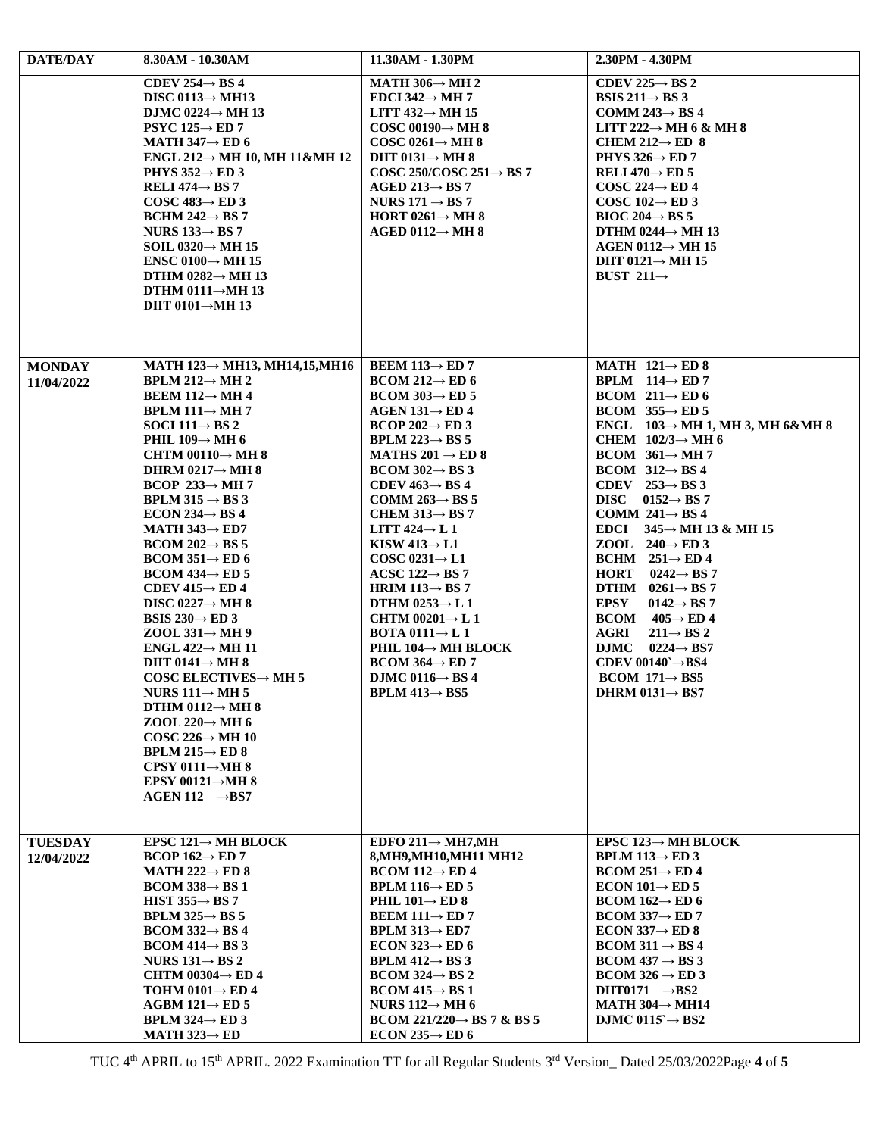| <b>DATE/DAY</b>              | 8.30AM - 10.30AM                                                                                                                                                                                                                                                                                                                                                                                                                                                                                                                                                                                                                                                                                                                                                                                                                                                                                                                                                                                                                                                 | 11.30AM - 1.30PM                                                                                                                                                                                                                                                                                                                                                                                                                                                                                                                                                                                                                                                                                                                                                                               | 2.30PM - 4.30PM                                                                                                                                                                                                                                                                                                                                                                                                                                                                                                                                                                                                                                                                                                                                                                   |
|------------------------------|------------------------------------------------------------------------------------------------------------------------------------------------------------------------------------------------------------------------------------------------------------------------------------------------------------------------------------------------------------------------------------------------------------------------------------------------------------------------------------------------------------------------------------------------------------------------------------------------------------------------------------------------------------------------------------------------------------------------------------------------------------------------------------------------------------------------------------------------------------------------------------------------------------------------------------------------------------------------------------------------------------------------------------------------------------------|------------------------------------------------------------------------------------------------------------------------------------------------------------------------------------------------------------------------------------------------------------------------------------------------------------------------------------------------------------------------------------------------------------------------------------------------------------------------------------------------------------------------------------------------------------------------------------------------------------------------------------------------------------------------------------------------------------------------------------------------------------------------------------------------|-----------------------------------------------------------------------------------------------------------------------------------------------------------------------------------------------------------------------------------------------------------------------------------------------------------------------------------------------------------------------------------------------------------------------------------------------------------------------------------------------------------------------------------------------------------------------------------------------------------------------------------------------------------------------------------------------------------------------------------------------------------------------------------|
|                              | CDEV 254 $\rightarrow$ BS 4<br>DISC 0113 $\rightarrow$ MH13<br>DJMC 0224 $\rightarrow$ MH 13<br>$PSYC 125 \rightarrow ED 7$<br>MATH $347 \rightarrow$ ED 6<br>ENGL 212 $\rightarrow$ MH 10, MH 11&MH 12<br>PHYS $352 \rightarrow$ ED 3<br>RELI 474 $\rightarrow$ BS 7<br>COSC 483 $\rightarrow$ ED 3<br>BCHM 242 $\rightarrow$ BS 7<br>NURS $133 \rightarrow BS 7$<br>SOIL $0320 \rightarrow \text{MH } 15$<br>ENSC 0100 $\rightarrow$ MH 15<br>DTHM 0282 $\rightarrow$ MH 13<br>DTHM 0111 $\rightarrow$ MH 13<br>DIIT 0101 $\rightarrow$ MH 13                                                                                                                                                                                                                                                                                                                                                                                                                                                                                                                  | MATH 306 $\rightarrow$ MH 2<br>EDCI 342 $\rightarrow$ MH 7<br>LITT $432 \rightarrow MH$ 15<br>COSC 00190 $\rightarrow$ MH 8<br>COSC 0261 $\rightarrow$ MH 8<br>DIIT 0131 $\rightarrow$ MH 8<br>COSC 250/COSC 251 $\rightarrow$ BS 7<br>AGED 213 $\rightarrow$ BS 7<br>NURS $171 \rightarrow BS 7$<br>HORT 0261 $\rightarrow$ MH 8<br>AGED 0112 $\rightarrow$ MH 8                                                                                                                                                                                                                                                                                                                                                                                                                              | CDEV 225 $\rightarrow$ BS 2<br>BSIS 211 $\rightarrow$ BS 3<br>COMM 243 $\rightarrow$ BS 4<br>LITT 222 $\rightarrow$ MH 6 & MH 8<br>CHEM 212 $\rightarrow$ ED 8<br>PHYS 326 $\rightarrow$ ED 7<br>RELI 470 $\rightarrow$ ED 5<br>COSC 224 $\rightarrow$ ED 4<br>COSC 102 $\rightarrow$ ED 3<br>BIOC 204 $\rightarrow$ BS 5<br>DTHM 0244 $\rightarrow$ MH 13<br>AGEN 0112 $\rightarrow$ MH 15<br>DIIT $0121 \rightarrow MH$ 15<br>BUST 211 $\rightarrow$                                                                                                                                                                                                                                                                                                                            |
| <b>MONDAY</b><br>11/04/2022  | MATH $123 \rightarrow$ MH13, MH14,15, MH16<br><b>BPLM 212<math>\rightarrow</math> MH 2</b><br><b>BEEM 112<math>\rightarrow</math> MH 4</b><br><b>BPLM 111<math>\rightarrow</math> MH 7</b><br>SOCI 111 $\rightarrow$ BS 2<br>PHIL 109 $\rightarrow$ MH 6<br>CHTM 00110 $\rightarrow$ MH 8<br>DHRM 0217 $\rightarrow$ MH 8<br>BCOP 233 $\rightarrow$ MH 7<br>BPLM 315 $\rightarrow$ BS 3<br>ECON 234 $\rightarrow$ BS 4<br>MATH $343 \rightarrow$ ED7<br>$BCOM 202 \rightarrow BS 5$<br>$BCOM 351 \rightarrow ED 6$<br>$BCOM 434 \rightarrow ED 5$<br>CDEV 415 $\rightarrow$ ED 4<br>DISC 0227 $\rightarrow$ MH 8<br>BSIS 230 $\rightarrow$ ED 3<br>ZOOL 331 $\rightarrow$ MH 9<br>ENGL $422 \rightarrow$ MH 11<br>DIIT 0141 $\rightarrow$ MH 8<br>COSC ELECTIVES $\rightarrow$ MH 5<br>NURS $111 \rightarrow MH$ 5<br>DTHM 0112 $\rightarrow$ MH 8<br>ZOOL 220 $\rightarrow$ MH 6<br>COSC 226 $\rightarrow$ MH 10<br><b>BPLM 215<math>\rightarrow</math> ED 8</b><br>CPSY 0111 $\rightarrow$ MH 8<br>EPSY 00121 $\rightarrow$ MH 8<br>$AGEN 112 \rightarrow BS7$ | <b>BEEM 113<math>\rightarrow</math> ED 7</b><br>$BCOM 212 \rightarrow ED 6$<br>$BCOM 303 \rightarrow ED 5$<br>AGEN $131 \rightarrow ED4$<br>$BCOP 202 \rightarrow ED 3$<br><b>BPLM 223<math>\rightarrow</math> BS 5</b><br>MATHS 201 $\rightarrow$ ED 8<br>$BCOM 302 \rightarrow BS 3$<br>CDEV $463 \rightarrow BS4$<br>COMM 263 $\rightarrow$ BS 5<br>CHEM 313 $\rightarrow$ BS 7<br>LITT $424 \rightarrow L1$<br>KISW 413 $\rightarrow$ L1<br>COSC 0231 $\rightarrow$ L1<br>ACSC 122 $\rightarrow$ BS 7<br>HRIM 113 $\rightarrow$ BS 7<br>DTHM $0253 \rightarrow L 1$<br>CHTM 00201 $\rightarrow$ L 1<br><b>BOTA 0111<math>\rightarrow</math> L 1</b><br>PHIL $104 \rightarrow$ MH BLOCK<br>$BCOM 364 \rightarrow ED 7$<br>DJMC 0116 $\rightarrow$ BS 4<br><b>BPLM</b> 413 $\rightarrow$ BS5 | MATH $121 \rightarrow ED 8$<br>BPLM $114 \rightarrow ED 7$<br>BCOM $211 \rightarrow ED 6$<br>BCOM $355 \rightarrow ED 5$<br>ENGL $103 \rightarrow MH$ 1, MH 3, MH 6&MH 8<br>CHEM $102/3 \rightarrow MH$ 6<br>BCOM $361 \rightarrow MH7$<br>$BCOM$ 312 $\rightarrow$ BS 4<br>CDEV $253 \rightarrow BS3$<br>DISC $0152 \rightarrow BS7$<br>COMM $241 \rightarrow BS4$<br>EDCI $345 \rightarrow$ MH 13 & MH 15<br>ZOOL $240 \rightarrow ED3$<br>BCHM $251 \rightarrow ED4$<br>HORT $0242 \rightarrow BS7$<br>DTHM $0261 \rightarrow BS 7$<br><b>EPSY</b><br>$0142 \rightarrow BS$ 7<br>$BCOM = 405 \rightarrow ED 4$<br>AGRI<br>$211 \rightarrow BS2$<br>DJMC $0224 \rightarrow BS7$<br>CDEV 00140` $\rightarrow$ BS4<br>$BCOM$ 171 $\rightarrow$ BS5<br>DHRM $0131 \rightarrow BS7$ |
| <b>TUESDAY</b><br>12/04/2022 | EPSC 121 $\rightarrow$ MH BLOCK<br>BCOP 162 $\rightarrow$ ED 7<br>MATH 222 $\rightarrow$ ED 8<br>$BCOM 338 \rightarrow BS 1$<br>HIST $355 \rightarrow BS$ 7<br>BPLM $325 \rightarrow BS$ 5<br>$BCOM 332 \rightarrow BS 4$<br>$BCOM 414 \rightarrow BS 3$<br>NURS $131 \rightarrow BS$ 2<br>CHTM 00304 $\rightarrow$ ED 4<br>TOHM 0101 $\rightarrow$ ED 4<br>AGBM 121 $\rightarrow$ ED 5<br><b>BPLM 324<math>\rightarrow</math> ED 3</b><br>MATH $323 \rightarrow ED$                                                                                                                                                                                                                                                                                                                                                                                                                                                                                                                                                                                             | EDFO $211 \rightarrow MH7, MH$<br>8. MH9. MH10. MH11 MH12<br>$BCOM 112 \rightarrow ED 4$<br><b>BPLM 116<math>\rightarrow</math> ED 5</b><br>PHIL $101 \rightarrow ED 8$<br>BEEM $111 \rightarrow ED$ 7<br><b>BPLM 313<math>\rightarrow</math> ED7</b><br>ECON 323 $\rightarrow$ ED 6<br><b>BPLM 412<math>\rightarrow</math> BS 3</b><br>$BCOM 324 \rightarrow BS 2$<br>$BCOM 415 \rightarrow BS 1$<br>NURS $112 \rightarrow$ MH 6<br>BCOM 221/220 $\rightarrow$ BS 7 & BS 5<br>ECON 235 $\rightarrow$ ED 6                                                                                                                                                                                                                                                                                     | EPSC 123 $\rightarrow$ MH BLOCK<br><b>BPLM 113<math>\rightarrow</math> ED 3</b><br>$BCOM 251 \rightarrow ED 4$<br>ECON 101 $\rightarrow$ ED 5<br>$BCOM 162 \rightarrow ED 6$<br>$BCOM 337 \rightarrow ED 7$<br>ECON 337 $\rightarrow$ ED 8<br>$BCOM 311 \rightarrow BS 4$<br>$BCOM 437 \rightarrow BS 3$<br>$BCOM 326 \rightarrow ED 3$<br>DIIT0171 $\rightarrow$ BS2<br>MATH $304 \rightarrow$ MH14<br>DJMC 0115 $\rightarrow$ BS2                                                                                                                                                                                                                                                                                                                                               |

TUC 4 th APRIL to 15th APRIL. 2022 Examination TT for all Regular Students 3 rd Version\_ Dated 25/03/2022Page **4** of **5**